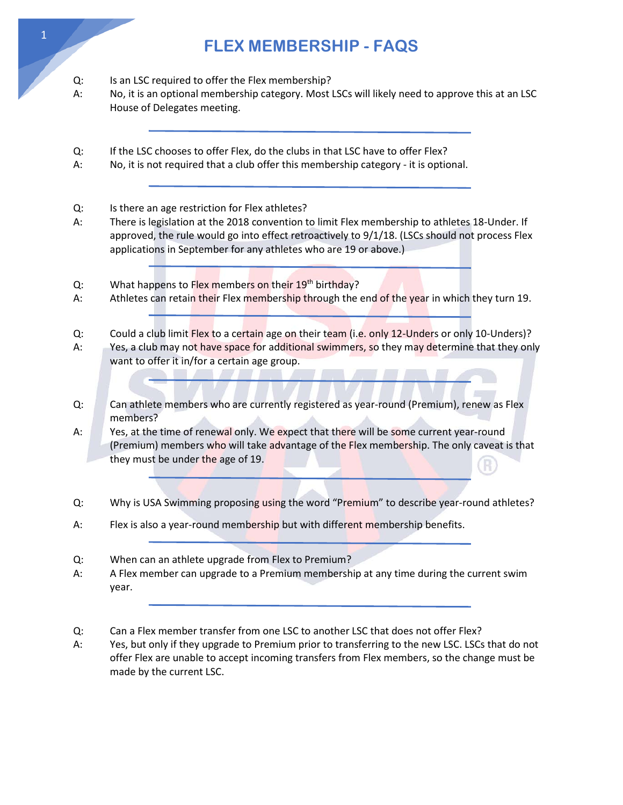- Q: Is an LSC required to offer the Flex membership?
- A: No, it is an optional membership category. Most LSCs will likely need to approve this at an LSC House of Delegates meeting.
- Q: If the LSC chooses to offer Flex, do the clubs in that LSC have to offer Flex?
- A: No, it is not required that a club offer this membership category it is optional.
- Q: Is there an age restriction for Flex athletes?
- A: There is legislation at the 2018 convention to limit Flex membership to athletes 18-Under. If approved, the rule would go into effect retroactively to 9/1/18. (LSCs should not process Flex applications in September for any athletes who are 19 or above.)
- Q: What happens to Flex members on their 19<sup>th</sup> birthday?
- A: Athletes can retain their Flex membership through the end of the year in which they turn 19.
- Q: Could a club limit Flex to a certain age on their team (i.e. only 12-Unders or only 10-Unders)?
- A: Yes, a club may not have space for additional swimmers, so they may determine that they only want to offer it in/for a certain age group.  $\blacksquare$
- Q: Can athlete members who are currently registered as year-round (Premium), renew as Flex members?
- A: Yes, at the time of renewal only. We expect that there will be some current year-round (Premium) members who will take advantage of the Flex membership. The only caveat is that they must be under the age of 19.
- Q: Why is USA Swimming proposing using the word "Premium" to describe year-round athletes?
- A: Flex is also a year-round membership but with different membership benefits.
- Q: When can an athlete upgrade from Flex to Premium?
- A: A Flex member can upgrade to a Premium membership at any time during the current swim year.
- Q: Can a Flex member transfer from one LSC to another LSC that does not offer Flex?
- A: Yes, but only if they upgrade to Premium prior to transferring to the new LSC. LSCs that do not offer Flex are unable to accept incoming transfers from Flex members, so the change must be made by the current LSC.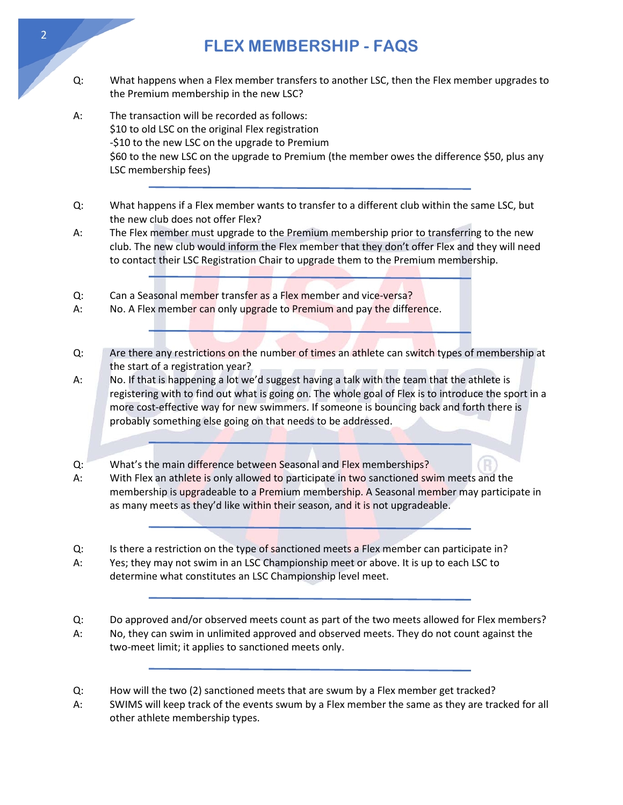- Q: What happens when a Flex member transfers to another LSC, then the Flex member upgrades to the Premium membership in the new LSC?
- A: The transaction will be recorded as follows: \$10 to old LSC on the original Flex registration -\$10 to the new LSC on the upgrade to Premium \$60 to the new LSC on the upgrade to Premium (the member owes the difference \$50, plus any LSC membership fees)
- Q: What happens if a Flex member wants to transfer to a different club within the same LSC, but the new club does not offer Flex?
- A: The Flex member must upgrade to the Premium membership prior to transferring to the new club. The new club would inform the Flex member that they don't offer Flex and they will need to contact their LSC Registration Chair to upgrade them to the Premium membership.
- Q: Can a Seasonal member transfer as a Flex member and vice-versa?
- A: No. A Flex member can only upgrade to Premium and pay the difference.
- Q: Are there any restrictions on the number of times an athlete can switch types of membership at the start of a registration year?
- A: No. If that is happening a lot we'd suggest having a talk with the team that the athlete is registering with to find out what is going on. The whole goal of Flex is to introduce the sport in a more cost-effective way for new swimmers. If someone is bouncing back and forth there is probably something else going on that needs to be addressed.
- Q: What's the main difference between Seasonal and Flex memberships?
- A: With Flex an athlete is only allowed to participate in two sanctioned swim meets and the membership is upgradeable to a Premium membership. A Seasonal member may participate in as many meets as they'd like within their season, and it is not upgradeable.
- Q: Is there a restriction on the type of sanctioned meets a Flex member can participate in?
- A: Yes; they may not swim in an LSC Championship meet or above. It is up to each LSC to determine what constitutes an LSC Championship level meet.
- Q: Do approved and/or observed meets count as part of the two meets allowed for Flex members?
- A: No, they can swim in unlimited approved and observed meets. They do not count against the two-meet limit; it applies to sanctioned meets only.
- Q: How will the two (2) sanctioned meets that are swum by a Flex member get tracked?
- A: SWIMS will keep track of the events swum by a Flex member the same as they are tracked for all other athlete membership types.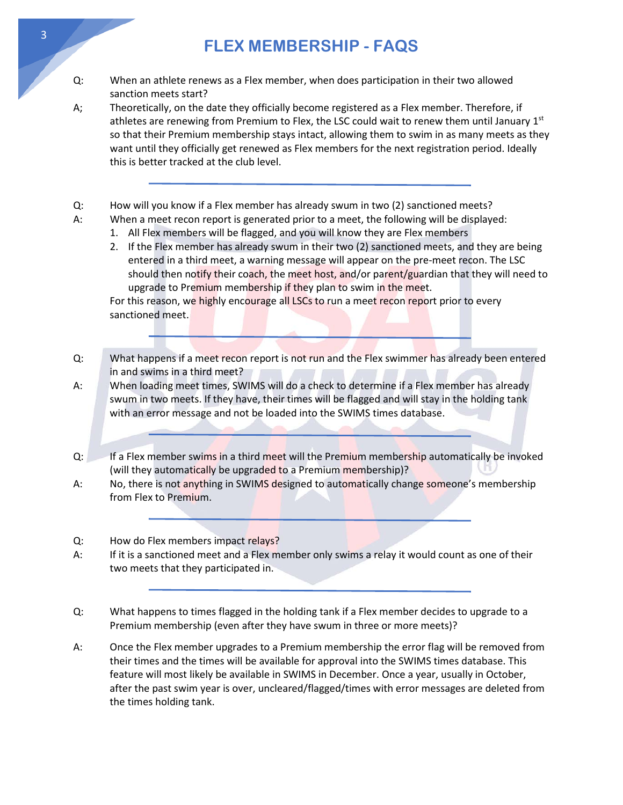- Q: When an athlete renews as a Flex member, when does participation in their two allowed sanction meets start?
- A; Theoretically, on the date they officially become registered as a Flex member. Therefore, if athletes are renewing from Premium to Flex, the LSC could wait to renew them until January  $1<sup>st</sup>$ so that their Premium membership stays intact, allowing them to swim in as many meets as they want until they officially get renewed as Flex members for the next registration period. Ideally this is better tracked at the club level.
- Q: How will you know if a Flex member has already swum in two (2) sanctioned meets?
- A: When a meet recon report is generated prior to a meet, the following will be displayed:
	- 1. All Flex members will be flagged, and you will know they are Flex members
	- 2. If the Flex member has already swum in their two (2) sanctioned meets, and they are being entered in a third meet, a warning message will appear on the pre-meet recon. The LSC should then notify their coach, the meet host, and/or parent/guardian that they will need to upgrade to Premium membership if they plan to swim in the meet.

For this reason, we highly encourage all LSCs to run a meet recon report prior to every sanctioned meet.

Q: What happens if a meet recon report is not run and the Flex swimmer has already been entered in and swims in a third meet?

A: When loading meet times, SWIMS will do a check to determine if a Flex member has already swum in two meets. If they have, their times will be flagged and will stay in the holding tank with an error message and not be loaded into the SWIMS times database.

- Q: If a Flex member swims in a third meet will the Premium membership automatically be invoked (will they automatically be upgraded to a Premium membership)?
- A: No, there is not anything in SWIMS designed to automatically change someone's membership from Flex to Premium.
- Q: How do Flex members impact relays?
- A: If it is a sanctioned meet and a Flex member only swims a relay it would count as one of their two meets that they participated in.
- Q: What happens to times flagged in the holding tank if a Flex member decides to upgrade to a Premium membership (even after they have swum in three or more meets)?
- A: Once the Flex member upgrades to a Premium membership the error flag will be removed from their times and the times will be available for approval into the SWIMS times database. This feature will most likely be available in SWIMS in December. Once a year, usually in October, after the past swim year is over, uncleared/flagged/times with error messages are deleted from the times holding tank.